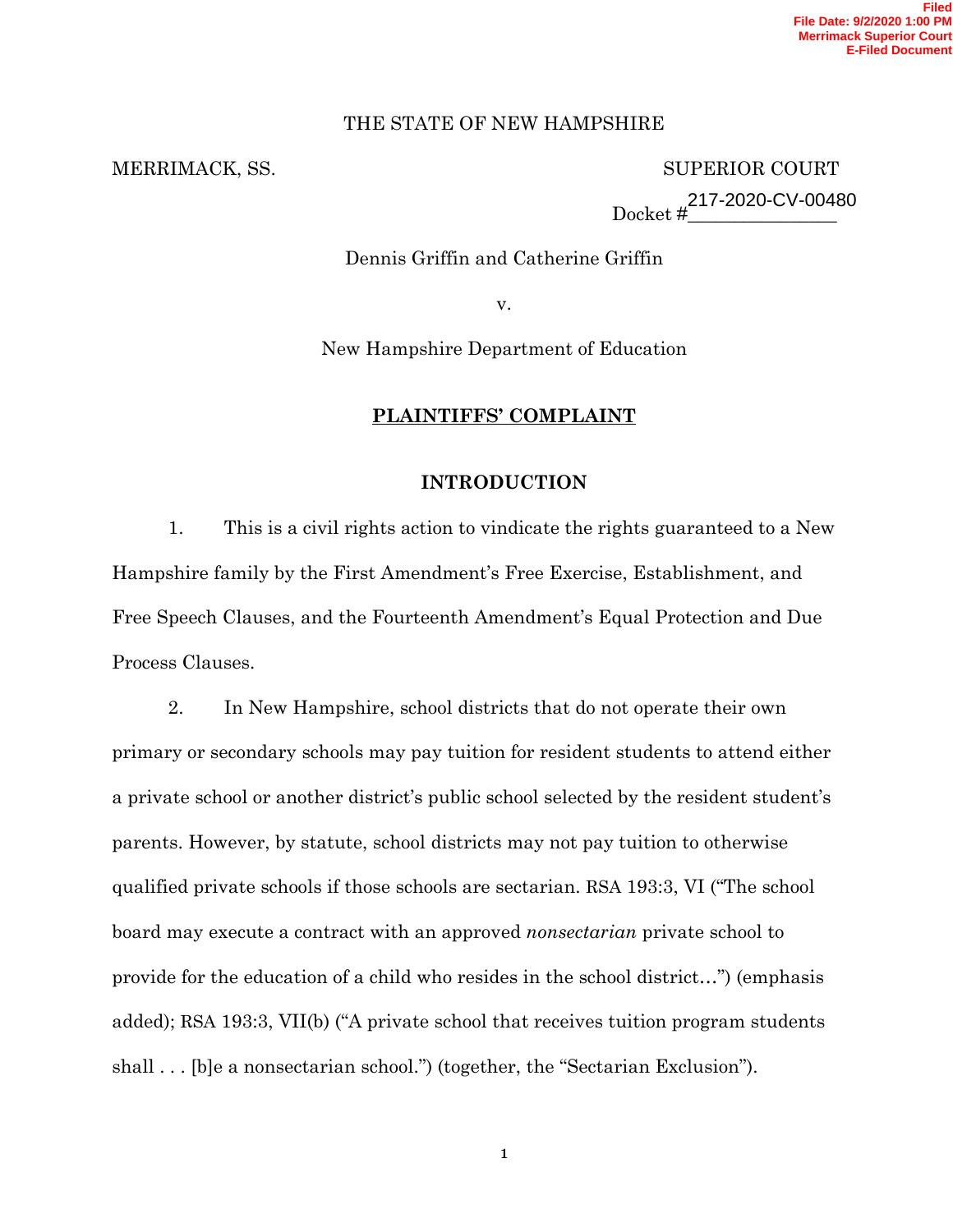# THE STATE OF NEW HAMPSHIRE

MERRIMACK, SS. SUPERIOR COURT  $Docket \# \_$ 217-2020-CV-00480

Dennis Griffin and Catherine Griffin

v.

New Hampshire Department of Education

# **PLAINTIFFS' COMPLAINT**

# **INTRODUCTION**

1. This is a civil rights action to vindicate the rights guaranteed to a New Hampshire family by the First Amendment's Free Exercise, Establishment, and Free Speech Clauses, and the Fourteenth Amendment's Equal Protection and Due Process Clauses.

2. In New Hampshire, school districts that do not operate their own primary or secondary schools may pay tuition for resident students to attend either a private school or another district's public school selected by the resident student's parents. However, by statute, school districts may not pay tuition to otherwise qualified private schools if those schools are sectarian. RSA 193:3, VI ("The school board may execute a contract with an approved *nonsectarian* private school to provide for the education of a child who resides in the school district…") (emphasis added); RSA 193:3, VII(b) ("A private school that receives tuition program students shall . . . [b]e a nonsectarian school.") (together, the "Sectarian Exclusion").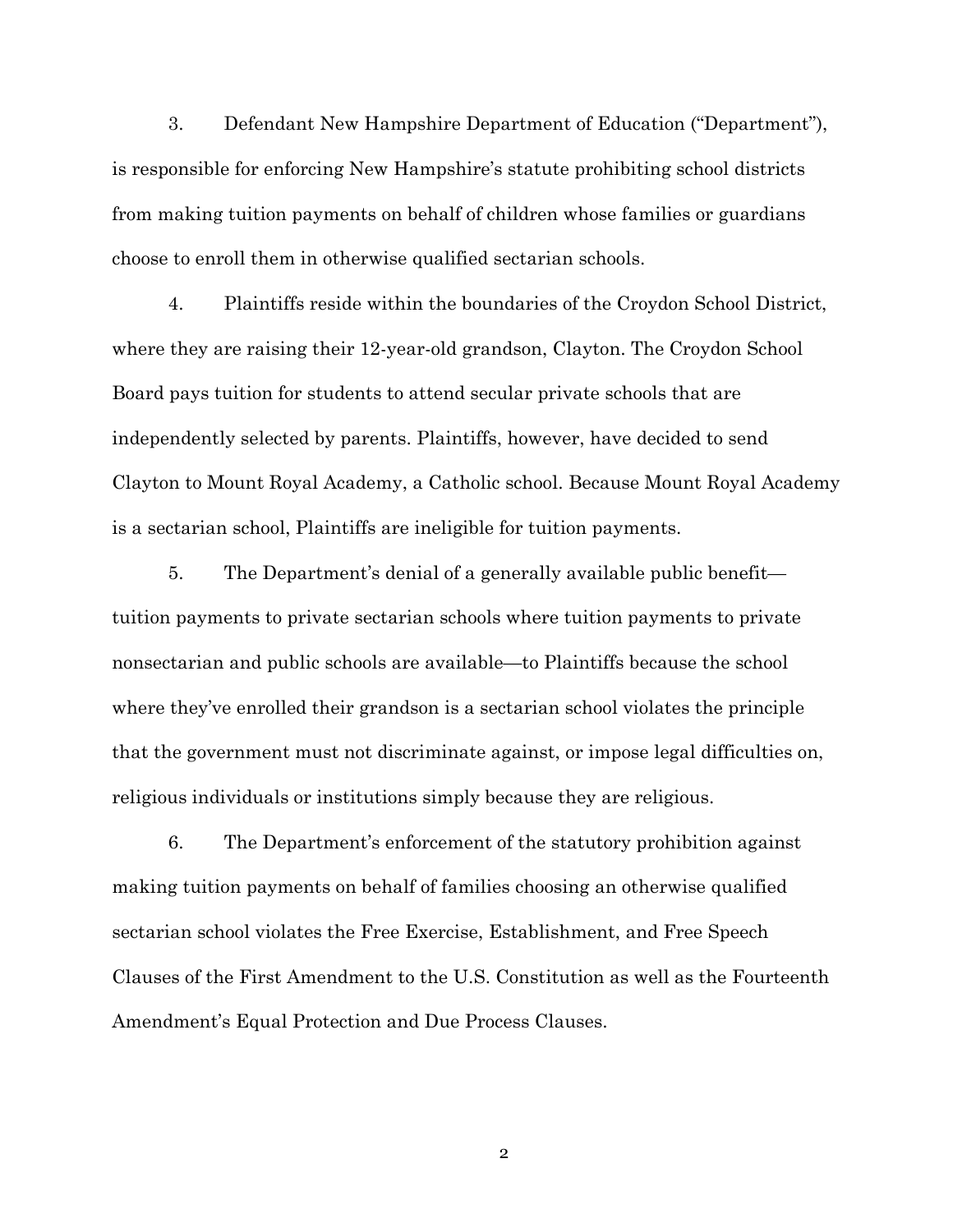3. Defendant New Hampshire Department of Education ("Department"), is responsible for enforcing New Hampshire's statute prohibiting school districts from making tuition payments on behalf of children whose families or guardians choose to enroll them in otherwise qualified sectarian schools.

4. Plaintiffs reside within the boundaries of the Croydon School District, where they are raising their 12-year-old grandson, Clayton. The Croydon School Board pays tuition for students to attend secular private schools that are independently selected by parents. Plaintiffs, however, have decided to send Clayton to Mount Royal Academy, a Catholic school. Because Mount Royal Academy is a sectarian school, Plaintiffs are ineligible for tuition payments.

5. The Department's denial of a generally available public benefit tuition payments to private sectarian schools where tuition payments to private nonsectarian and public schools are available—to Plaintiffs because the school where they've enrolled their grandson is a sectarian school violates the principle that the government must not discriminate against, or impose legal difficulties on, religious individuals or institutions simply because they are religious.

6. The Department's enforcement of the statutory prohibition against making tuition payments on behalf of families choosing an otherwise qualified sectarian school violates the Free Exercise, Establishment, and Free Speech Clauses of the First Amendment to the U.S. Constitution as well as the Fourteenth Amendment's Equal Protection and Due Process Clauses.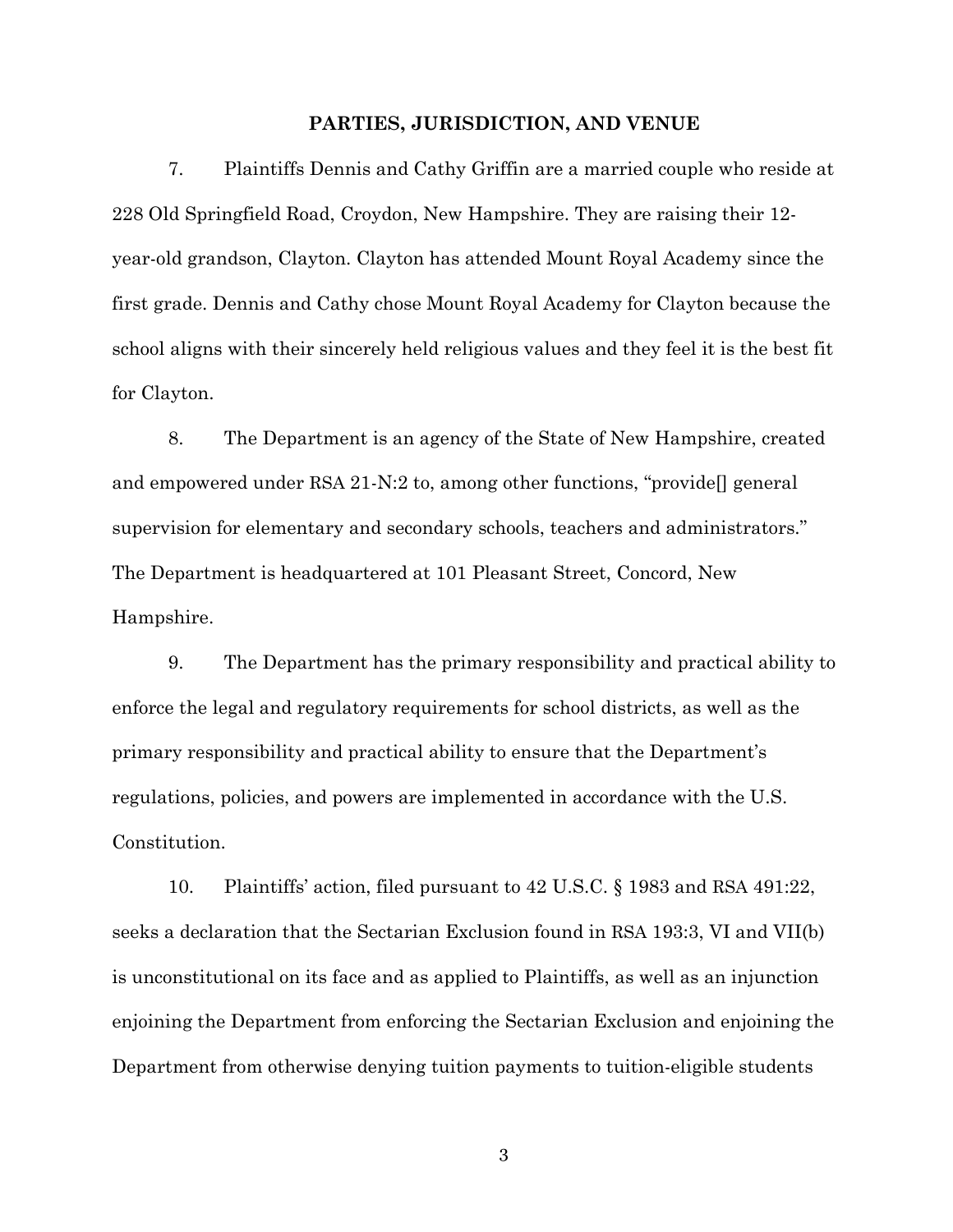#### **PARTIES, JURISDICTION, AND VENUE**

7. Plaintiffs Dennis and Cathy Griffin are a married couple who reside at 228 Old Springfield Road, Croydon, New Hampshire. They are raising their 12 year-old grandson, Clayton. Clayton has attended Mount Royal Academy since the first grade. Dennis and Cathy chose Mount Royal Academy for Clayton because the school aligns with their sincerely held religious values and they feel it is the best fit for Clayton.

8. The Department is an agency of the State of New Hampshire, created and empowered under RSA 21-N:2 to, among other functions, "provide[] general supervision for elementary and secondary schools, teachers and administrators." The Department is headquartered at 101 Pleasant Street, Concord, New Hampshire.

9. The Department has the primary responsibility and practical ability to enforce the legal and regulatory requirements for school districts, as well as the primary responsibility and practical ability to ensure that the Department's regulations, policies, and powers are implemented in accordance with the U.S. Constitution.

10. Plaintiffs' action, filed pursuant to 42 U.S.C. § 1983 and RSA 491:22, seeks a declaration that the Sectarian Exclusion found in RSA 193:3, VI and VII(b) is unconstitutional on its face and as applied to Plaintiffs, as well as an injunction enjoining the Department from enforcing the Sectarian Exclusion and enjoining the Department from otherwise denying tuition payments to tuition-eligible students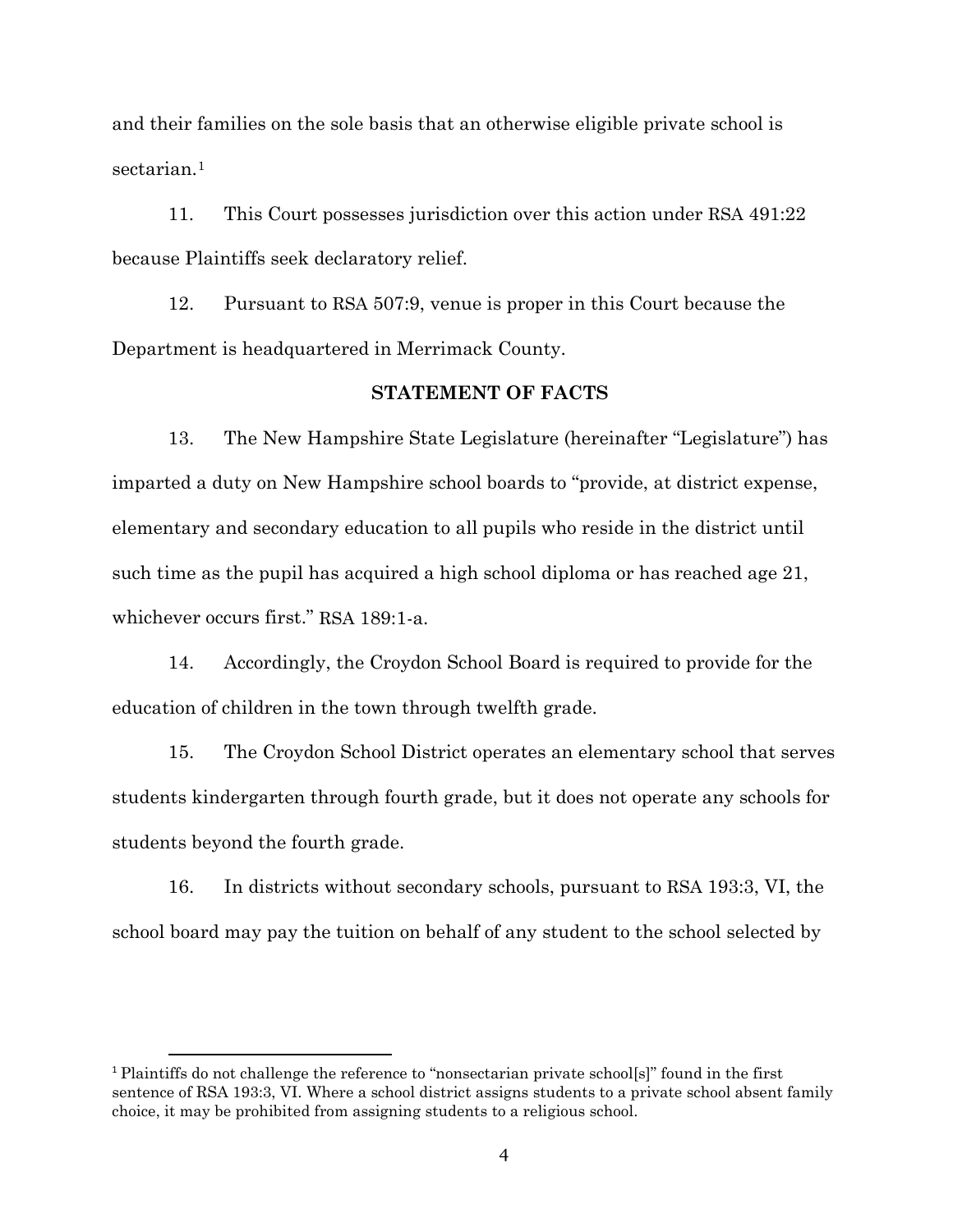and their families on the sole basis that an otherwise eligible private school is sectarian.<sup>[1](#page-3-0)</sup>

11. This Court possesses jurisdiction over this action under RSA 491:22 because Plaintiffs seek declaratory relief.

12. Pursuant to RSA 507:9, venue is proper in this Court because the Department is headquartered in Merrimack County.

# **STATEMENT OF FACTS**

13. The New Hampshire State Legislature (hereinafter "Legislature") has imparted a duty on New Hampshire school boards to "provide, at district expense, elementary and secondary education to all pupils who reside in the district until such time as the pupil has acquired a high school diploma or has reached age 21, whichever occurs first." RSA 189:1-a.

14. Accordingly, the Croydon School Board is required to provide for the education of children in the town through twelfth grade.

15. The Croydon School District operates an elementary school that serves students kindergarten through fourth grade, but it does not operate any schools for students beyond the fourth grade.

16. In districts without secondary schools, pursuant to RSA 193:3, VI, the school board may pay the tuition on behalf of any student to the school selected by

<span id="page-3-0"></span><sup>1</sup> Plaintiffs do not challenge the reference to "nonsectarian private school[s]" found in the first sentence of RSA 193:3, VI. Where a school district assigns students to a private school absent family choice, it may be prohibited from assigning students to a religious school.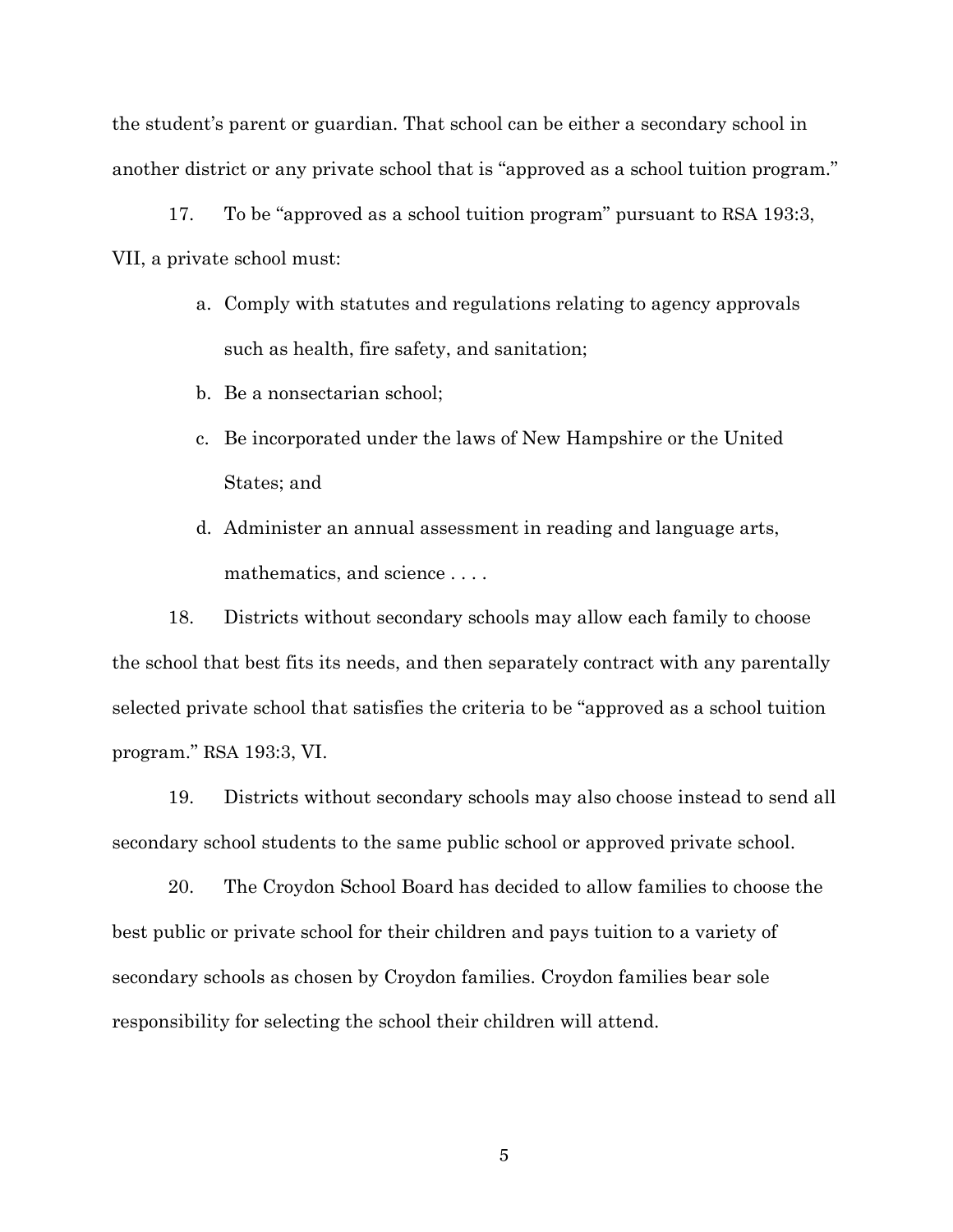the student's parent or guardian. That school can be either a secondary school in another district or any private school that is "approved as a school tuition program."

17. To be "approved as a school tuition program" pursuant to RSA 193:3, VII, a private school must:

- a. Comply with statutes and regulations relating to agency approvals such as health, fire safety, and sanitation;
- b. Be a nonsectarian school;
- c. Be incorporated under the laws of New Hampshire or the United States; and
- d. Administer an annual assessment in reading and language arts, mathematics, and science . . . .

18. Districts without secondary schools may allow each family to choose the school that best fits its needs, and then separately contract with any parentally selected private school that satisfies the criteria to be "approved as a school tuition program." RSA 193:3, VI.

19. Districts without secondary schools may also choose instead to send all secondary school students to the same public school or approved private school.

20. The Croydon School Board has decided to allow families to choose the best public or private school for their children and pays tuition to a variety of secondary schools as chosen by Croydon families. Croydon families bear sole responsibility for selecting the school their children will attend.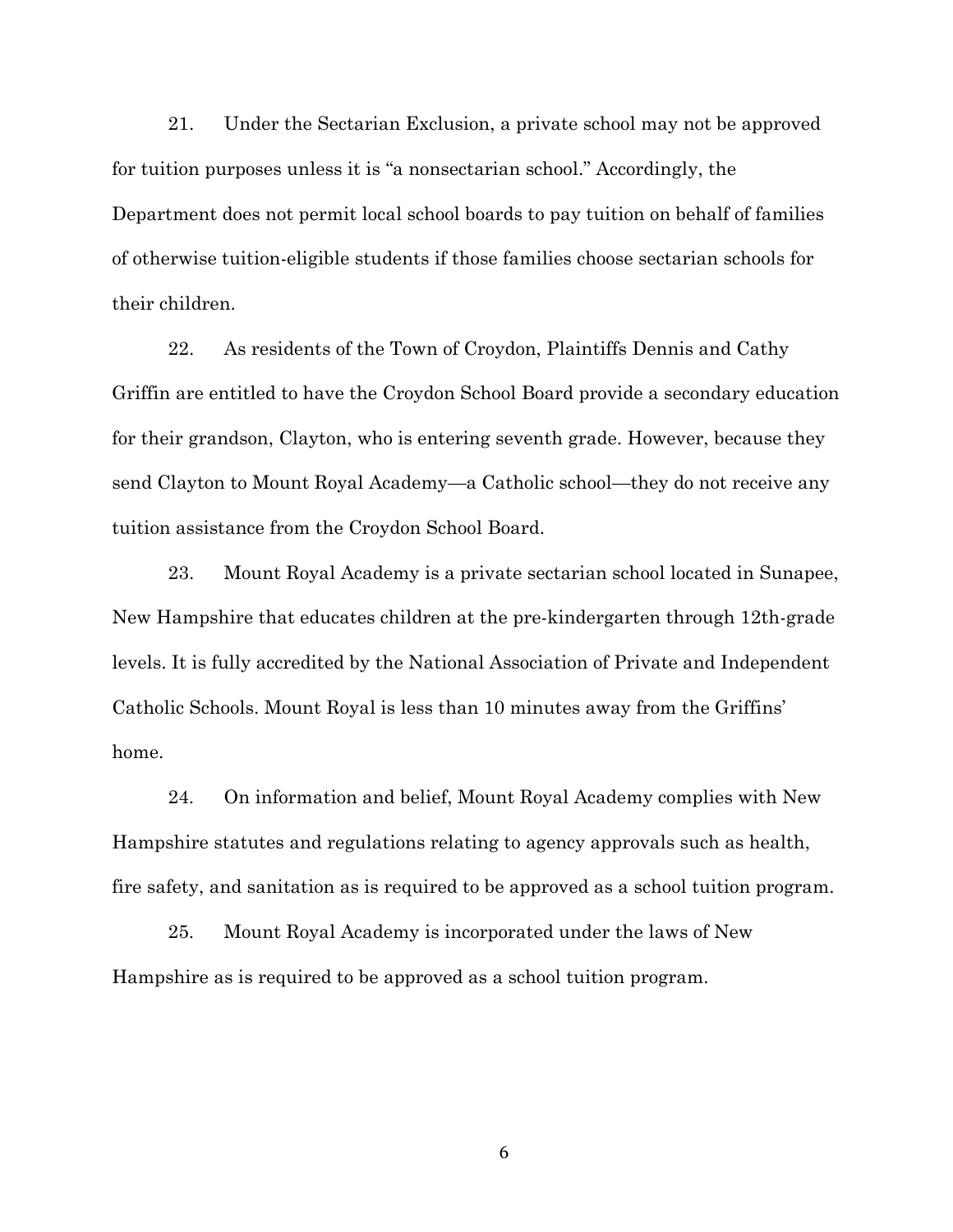21. Under the Sectarian Exclusion, a private school may not be approved for tuition purposes unless it is "a nonsectarian school." Accordingly, the Department does not permit local school boards to pay tuition on behalf of families of otherwise tuition-eligible students if those families choose sectarian schools for their children.

22. As residents of the Town of Croydon, Plaintiffs Dennis and Cathy Griffin are entitled to have the Croydon School Board provide a secondary education for their grandson, Clayton, who is entering seventh grade. However, because they send Clayton to Mount Royal Academy—a Catholic school—they do not receive any tuition assistance from the Croydon School Board.

23. Mount Royal Academy is a private sectarian school located in Sunapee, New Hampshire that educates children at the pre-kindergarten through 12th-grade levels. It is fully accredited by the National Association of Private and Independent Catholic Schools. Mount Royal is less than 10 minutes away from the Griffins' home.

24. On information and belief, Mount Royal Academy complies with New Hampshire statutes and regulations relating to agency approvals such as health, fire safety, and sanitation as is required to be approved as a school tuition program.

25. Mount Royal Academy is incorporated under the laws of New Hampshire as is required to be approved as a school tuition program.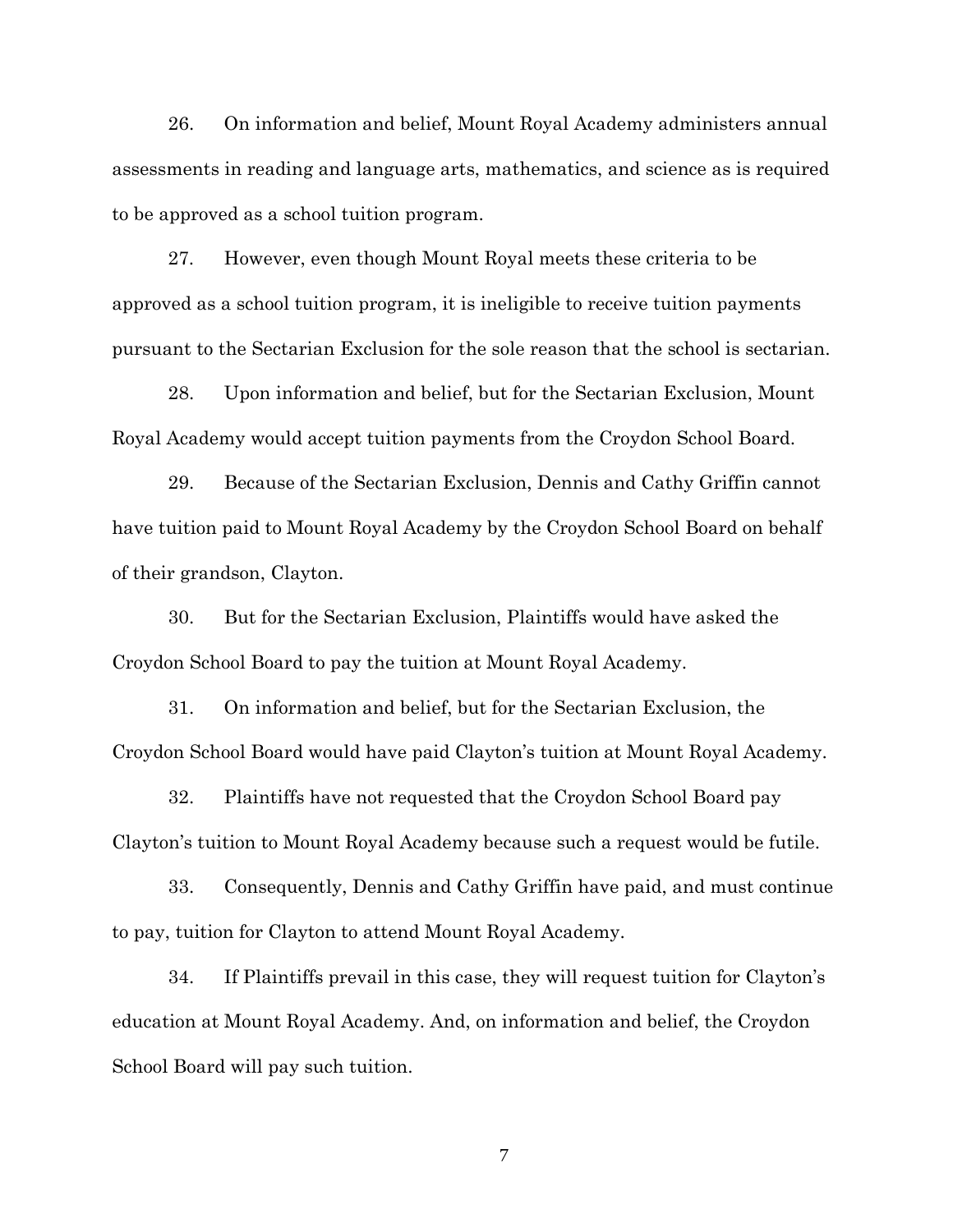26. On information and belief, Mount Royal Academy administers annual assessments in reading and language arts, mathematics, and science as is required to be approved as a school tuition program.

27. However, even though Mount Royal meets these criteria to be approved as a school tuition program, it is ineligible to receive tuition payments pursuant to the Sectarian Exclusion for the sole reason that the school is sectarian.

28. Upon information and belief, but for the Sectarian Exclusion, Mount Royal Academy would accept tuition payments from the Croydon School Board.

29. Because of the Sectarian Exclusion, Dennis and Cathy Griffin cannot have tuition paid to Mount Royal Academy by the Croydon School Board on behalf of their grandson, Clayton.

30. But for the Sectarian Exclusion, Plaintiffs would have asked the Croydon School Board to pay the tuition at Mount Royal Academy.

31. On information and belief, but for the Sectarian Exclusion, the Croydon School Board would have paid Clayton's tuition at Mount Royal Academy.

32. Plaintiffs have not requested that the Croydon School Board pay Clayton's tuition to Mount Royal Academy because such a request would be futile.

33. Consequently, Dennis and Cathy Griffin have paid, and must continue to pay, tuition for Clayton to attend Mount Royal Academy.

34. If Plaintiffs prevail in this case, they will request tuition for Clayton's education at Mount Royal Academy. And, on information and belief, the Croydon School Board will pay such tuition.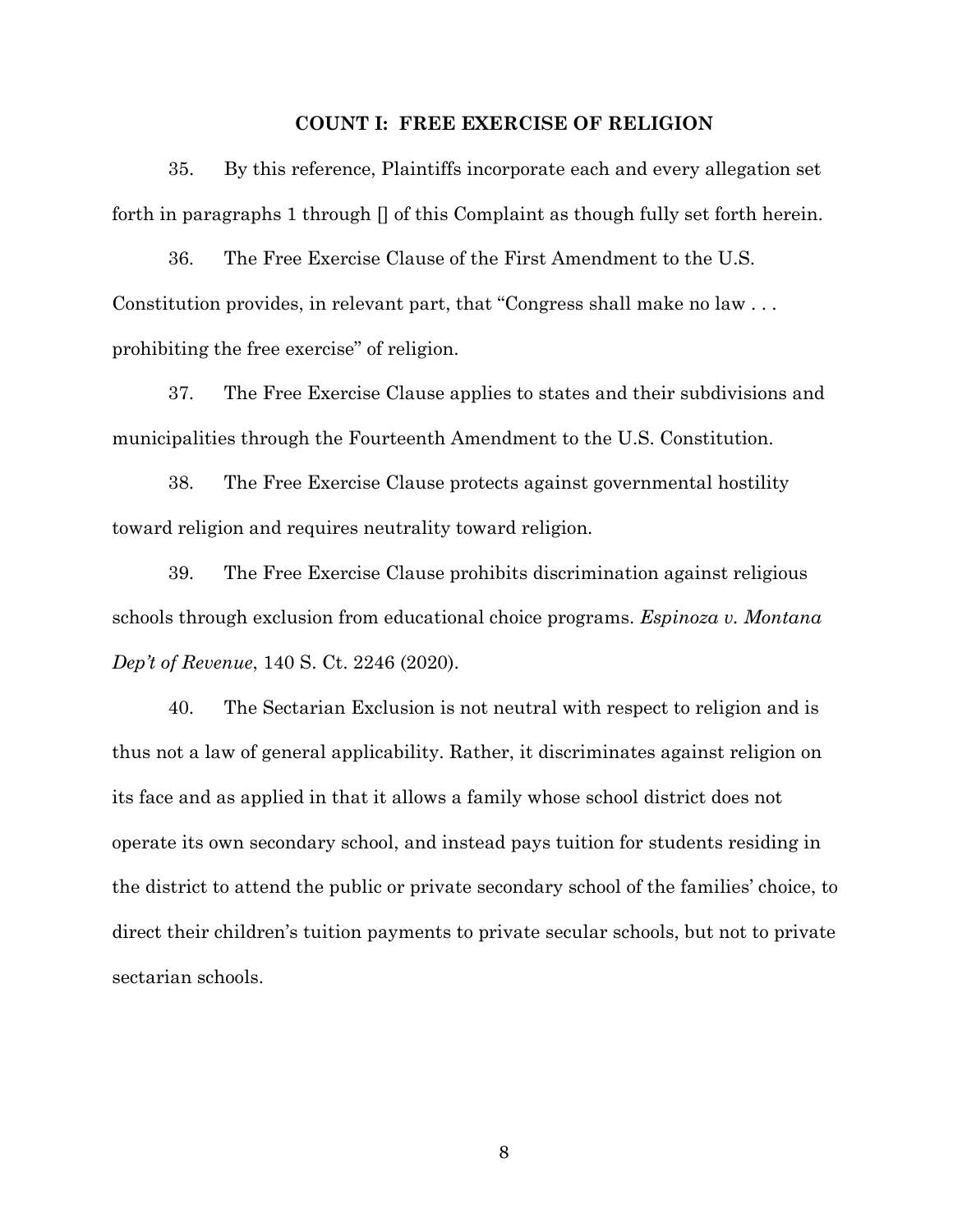### **COUNT I: FREE EXERCISE OF RELIGION**

35. By this reference, Plaintiffs incorporate each and every allegation set forth in paragraphs 1 through  $\Box$  of this Complaint as though fully set forth herein.

36. The Free Exercise Clause of the First Amendment to the U.S. Constitution provides, in relevant part, that "Congress shall make no law . . . prohibiting the free exercise" of religion.

37. The Free Exercise Clause applies to states and their subdivisions and municipalities through the Fourteenth Amendment to the U.S. Constitution.

38. The Free Exercise Clause protects against governmental hostility toward religion and requires neutrality toward religion.

39. The Free Exercise Clause prohibits discrimination against religious schools through exclusion from educational choice programs. *Espinoza v. Montana Dep't of Revenue*, 140 S. Ct. 2246 (2020).

40. The Sectarian Exclusion is not neutral with respect to religion and is thus not a law of general applicability. Rather, it discriminates against religion on its face and as applied in that it allows a family whose school district does not operate its own secondary school, and instead pays tuition for students residing in the district to attend the public or private secondary school of the families' choice, to direct their children's tuition payments to private secular schools, but not to private sectarian schools.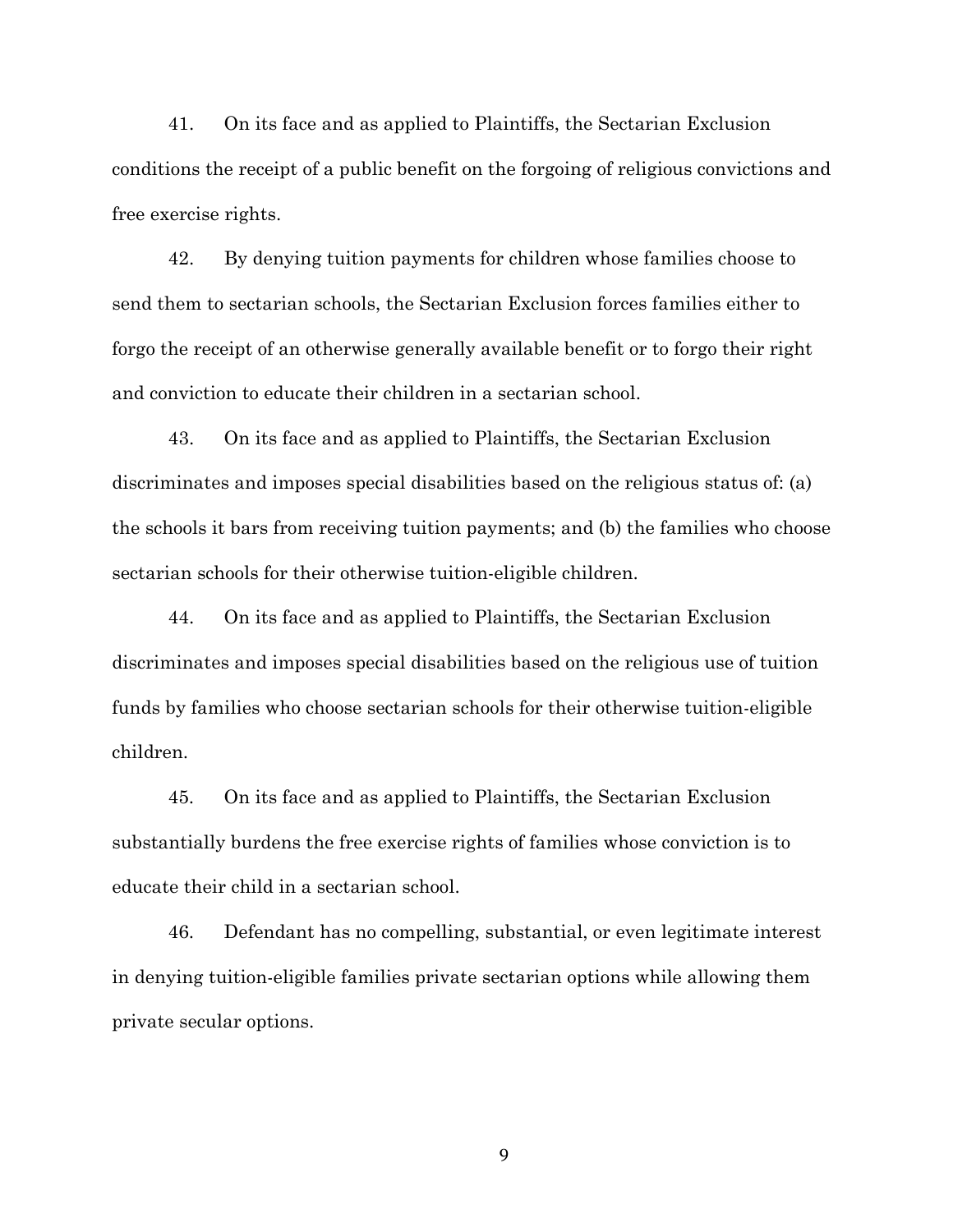41. On its face and as applied to Plaintiffs, the Sectarian Exclusion conditions the receipt of a public benefit on the forgoing of religious convictions and free exercise rights.

42. By denying tuition payments for children whose families choose to send them to sectarian schools, the Sectarian Exclusion forces families either to forgo the receipt of an otherwise generally available benefit or to forgo their right and conviction to educate their children in a sectarian school.

43. On its face and as applied to Plaintiffs, the Sectarian Exclusion discriminates and imposes special disabilities based on the religious status of: (a) the schools it bars from receiving tuition payments; and (b) the families who choose sectarian schools for their otherwise tuition-eligible children.

44. On its face and as applied to Plaintiffs, the Sectarian Exclusion discriminates and imposes special disabilities based on the religious use of tuition funds by families who choose sectarian schools for their otherwise tuition-eligible children.

45. On its face and as applied to Plaintiffs, the Sectarian Exclusion substantially burdens the free exercise rights of families whose conviction is to educate their child in a sectarian school.

46. Defendant has no compelling, substantial, or even legitimate interest in denying tuition-eligible families private sectarian options while allowing them private secular options.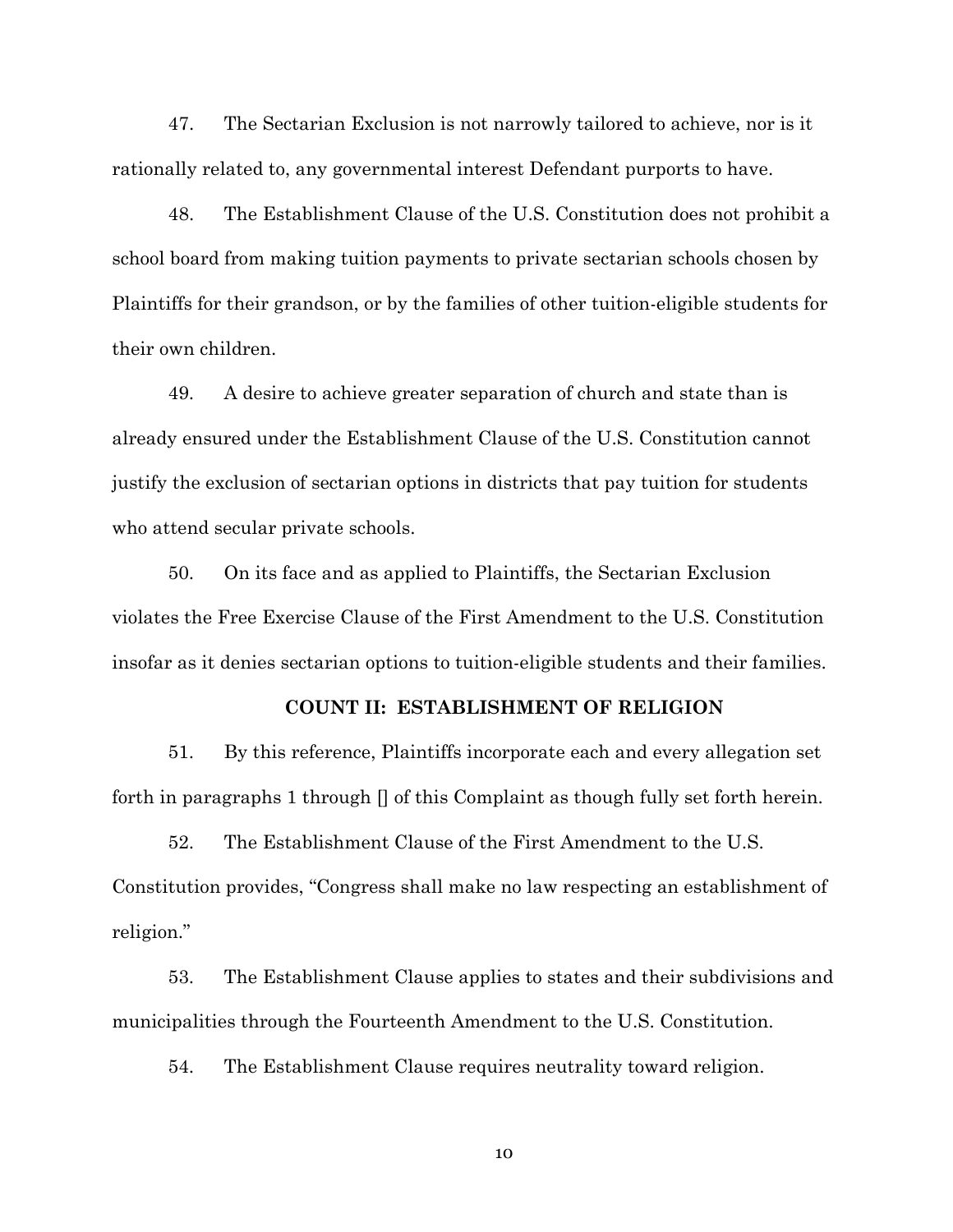47. The Sectarian Exclusion is not narrowly tailored to achieve, nor is it rationally related to, any governmental interest Defendant purports to have.

48. The Establishment Clause of the U.S. Constitution does not prohibit a school board from making tuition payments to private sectarian schools chosen by Plaintiffs for their grandson, or by the families of other tuition-eligible students for their own children.

49. A desire to achieve greater separation of church and state than is already ensured under the Establishment Clause of the U.S. Constitution cannot justify the exclusion of sectarian options in districts that pay tuition for students who attend secular private schools.

50. On its face and as applied to Plaintiffs, the Sectarian Exclusion violates the Free Exercise Clause of the First Amendment to the U.S. Constitution insofar as it denies sectarian options to tuition-eligible students and their families.

### **COUNT II: ESTABLISHMENT OF RELIGION**

51. By this reference, Plaintiffs incorporate each and every allegation set forth in paragraphs 1 through  $\Box$  of this Complaint as though fully set forth herein.

52. The Establishment Clause of the First Amendment to the U.S. Constitution provides, "Congress shall make no law respecting an establishment of religion."

53. The Establishment Clause applies to states and their subdivisions and municipalities through the Fourteenth Amendment to the U.S. Constitution.

54. The Establishment Clause requires neutrality toward religion.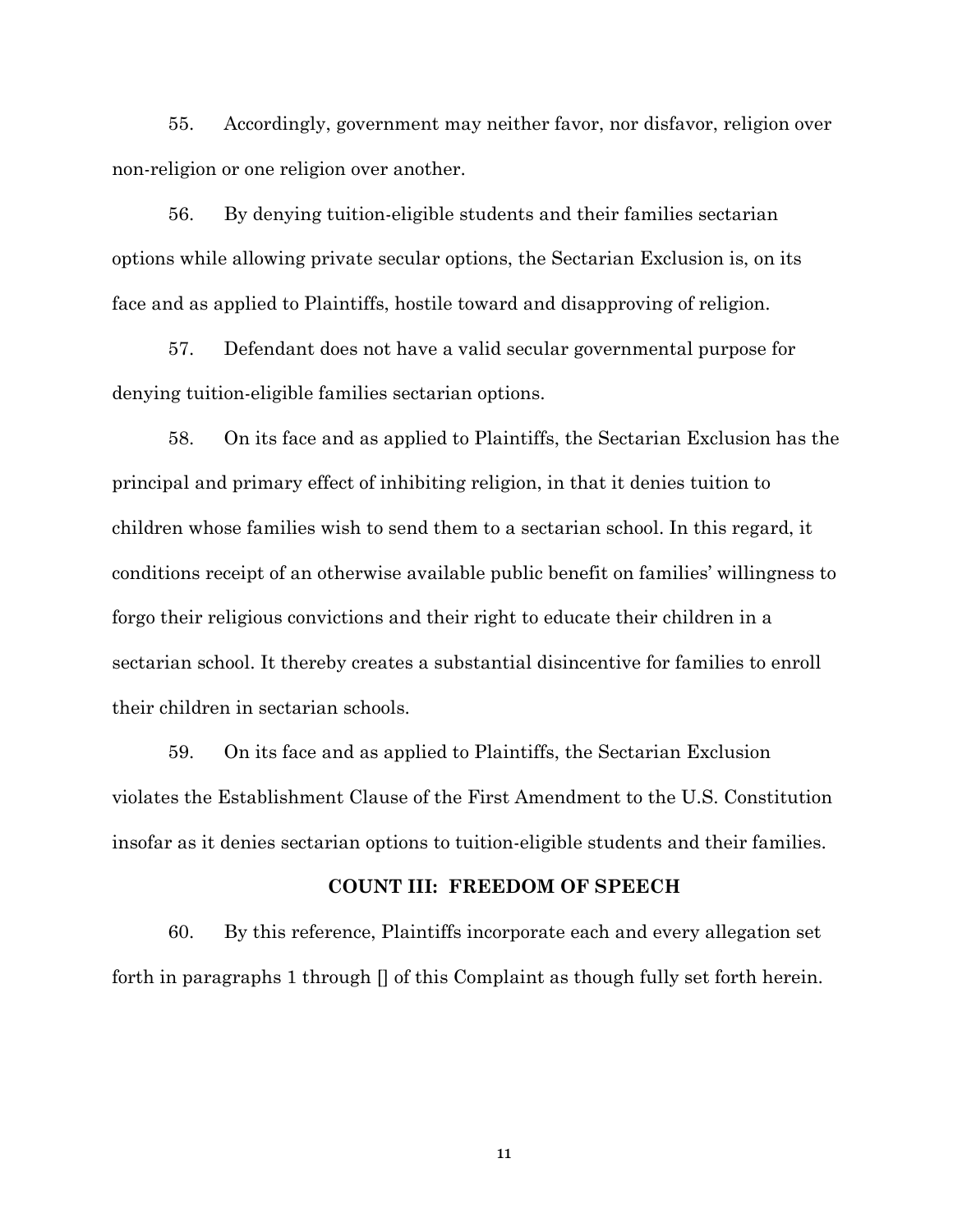55. Accordingly, government may neither favor, nor disfavor, religion over non-religion or one religion over another.

56. By denying tuition-eligible students and their families sectarian options while allowing private secular options, the Sectarian Exclusion is, on its face and as applied to Plaintiffs, hostile toward and disapproving of religion.

57. Defendant does not have a valid secular governmental purpose for denying tuition-eligible families sectarian options.

58. On its face and as applied to Plaintiffs, the Sectarian Exclusion has the principal and primary effect of inhibiting religion, in that it denies tuition to children whose families wish to send them to a sectarian school. In this regard, it conditions receipt of an otherwise available public benefit on families' willingness to forgo their religious convictions and their right to educate their children in a sectarian school. It thereby creates a substantial disincentive for families to enroll their children in sectarian schools.

59. On its face and as applied to Plaintiffs, the Sectarian Exclusion violates the Establishment Clause of the First Amendment to the U.S. Constitution insofar as it denies sectarian options to tuition-eligible students and their families.

### **COUNT III: FREEDOM OF SPEECH**

60. By this reference, Plaintiffs incorporate each and every allegation set forth in paragraphs 1 through [] of this Complaint as though fully set forth herein.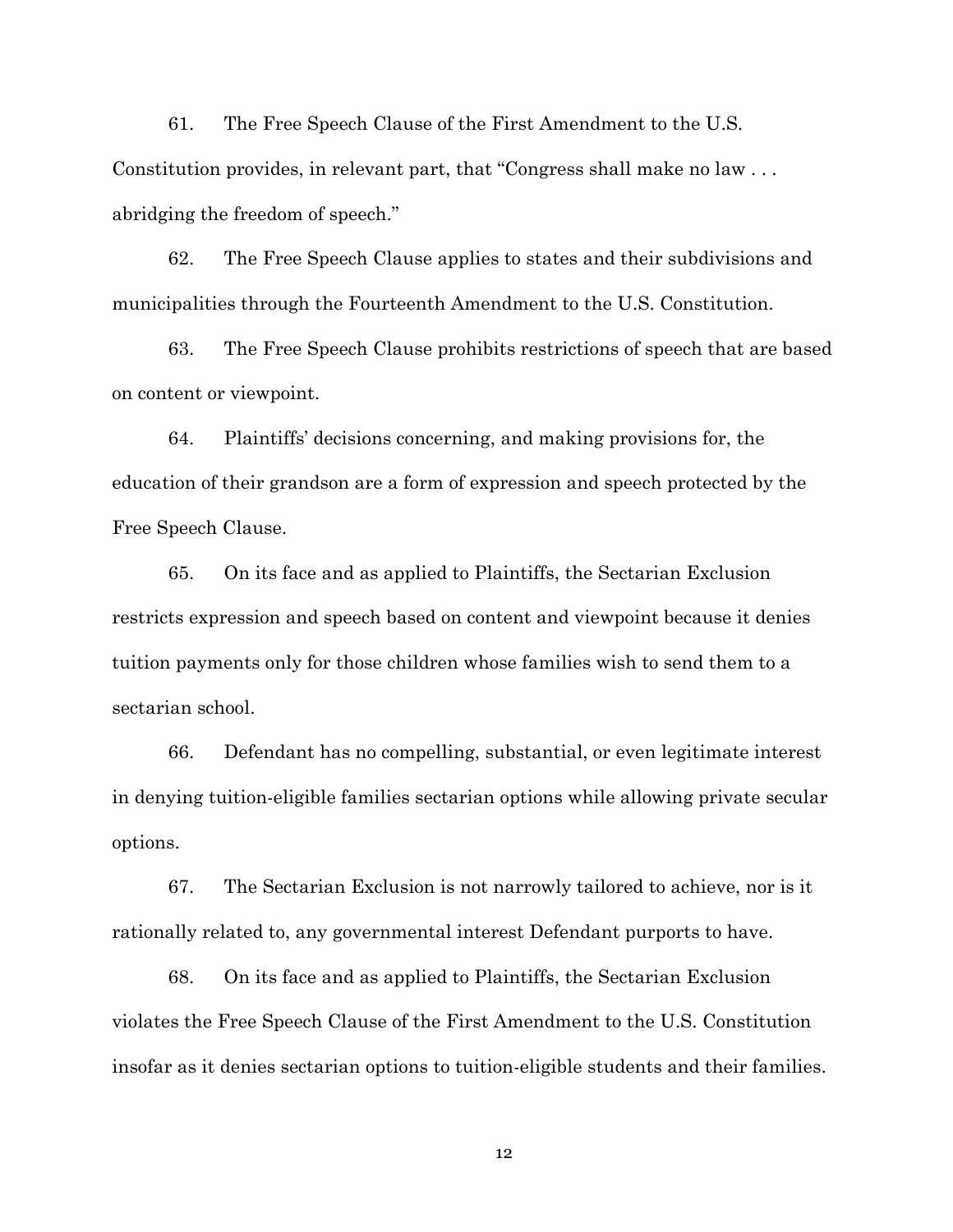61. The Free Speech Clause of the First Amendment to the U.S. Constitution provides, in relevant part, that "Congress shall make no law . . . abridging the freedom of speech."

62. The Free Speech Clause applies to states and their subdivisions and municipalities through the Fourteenth Amendment to the U.S. Constitution.

63. The Free Speech Clause prohibits restrictions of speech that are based on content or viewpoint.

64. Plaintiffs' decisions concerning, and making provisions for, the education of their grandson are a form of expression and speech protected by the Free Speech Clause.

65. On its face and as applied to Plaintiffs, the Sectarian Exclusion restricts expression and speech based on content and viewpoint because it denies tuition payments only for those children whose families wish to send them to a sectarian school.

66. Defendant has no compelling, substantial, or even legitimate interest in denying tuition-eligible families sectarian options while allowing private secular options.

67. The Sectarian Exclusion is not narrowly tailored to achieve, nor is it rationally related to, any governmental interest Defendant purports to have.

68. On its face and as applied to Plaintiffs, the Sectarian Exclusion violates the Free Speech Clause of the First Amendment to the U.S. Constitution insofar as it denies sectarian options to tuition-eligible students and their families.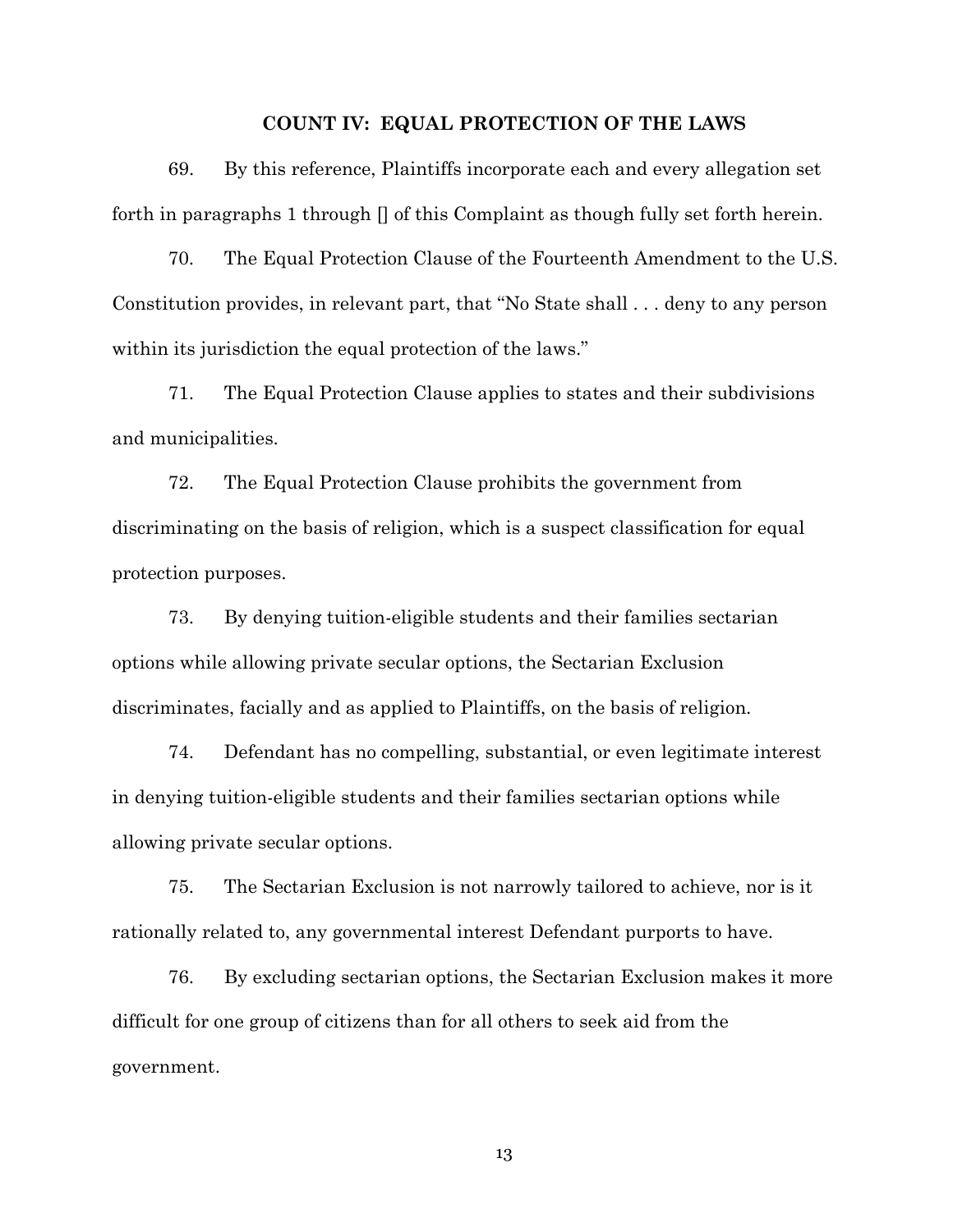#### **COUNT IV: EQUAL PROTECTION OF THE LAWS**

69. By this reference, Plaintiffs incorporate each and every allegation set forth in paragraphs 1 through  $\Box$  of this Complaint as though fully set forth herein.

70. The Equal Protection Clause of the Fourteenth Amendment to the U.S. Constitution provides, in relevant part, that "No State shall . . . deny to any person within its jurisdiction the equal protection of the laws."

71. The Equal Protection Clause applies to states and their subdivisions and municipalities.

72. The Equal Protection Clause prohibits the government from discriminating on the basis of religion, which is a suspect classification for equal protection purposes.

73. By denying tuition-eligible students and their families sectarian options while allowing private secular options, the Sectarian Exclusion discriminates, facially and as applied to Plaintiffs, on the basis of religion.

74. Defendant has no compelling, substantial, or even legitimate interest in denying tuition-eligible students and their families sectarian options while allowing private secular options.

75. The Sectarian Exclusion is not narrowly tailored to achieve, nor is it rationally related to, any governmental interest Defendant purports to have.

76. By excluding sectarian options, the Sectarian Exclusion makes it more difficult for one group of citizens than for all others to seek aid from the government.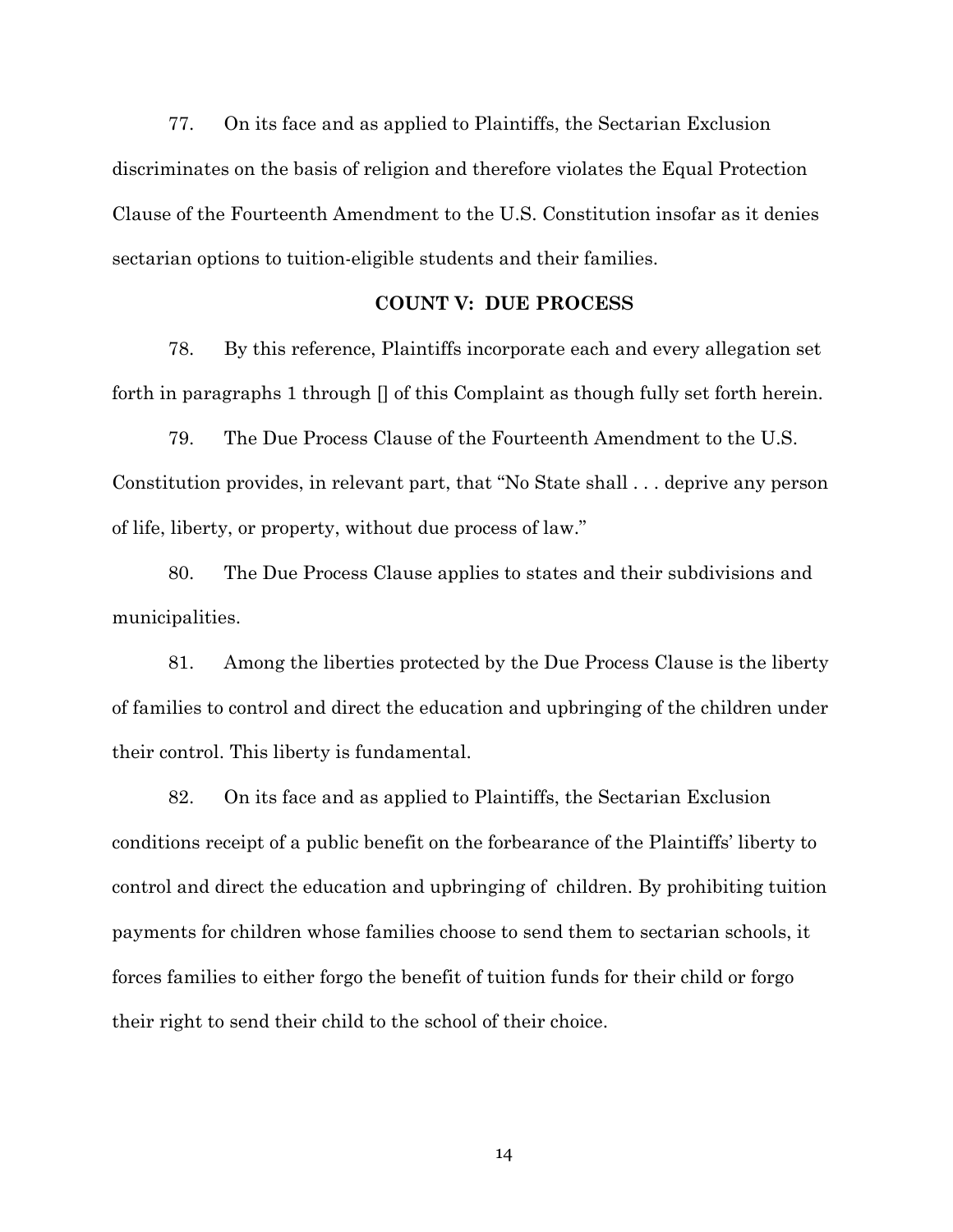77. On its face and as applied to Plaintiffs, the Sectarian Exclusion discriminates on the basis of religion and therefore violates the Equal Protection Clause of the Fourteenth Amendment to the U.S. Constitution insofar as it denies sectarian options to tuition-eligible students and their families.

## **COUNT V: DUE PROCESS**

78. By this reference, Plaintiffs incorporate each and every allegation set forth in paragraphs 1 through  $\eta$  of this Complaint as though fully set forth herein.

79. The Due Process Clause of the Fourteenth Amendment to the U.S. Constitution provides, in relevant part, that "No State shall . . . deprive any person of life, liberty, or property, without due process of law."

80. The Due Process Clause applies to states and their subdivisions and municipalities.

81. Among the liberties protected by the Due Process Clause is the liberty of families to control and direct the education and upbringing of the children under their control. This liberty is fundamental.

82. On its face and as applied to Plaintiffs, the Sectarian Exclusion conditions receipt of a public benefit on the forbearance of the Plaintiffs' liberty to control and direct the education and upbringing of children. By prohibiting tuition payments for children whose families choose to send them to sectarian schools, it forces families to either forgo the benefit of tuition funds for their child or forgo their right to send their child to the school of their choice.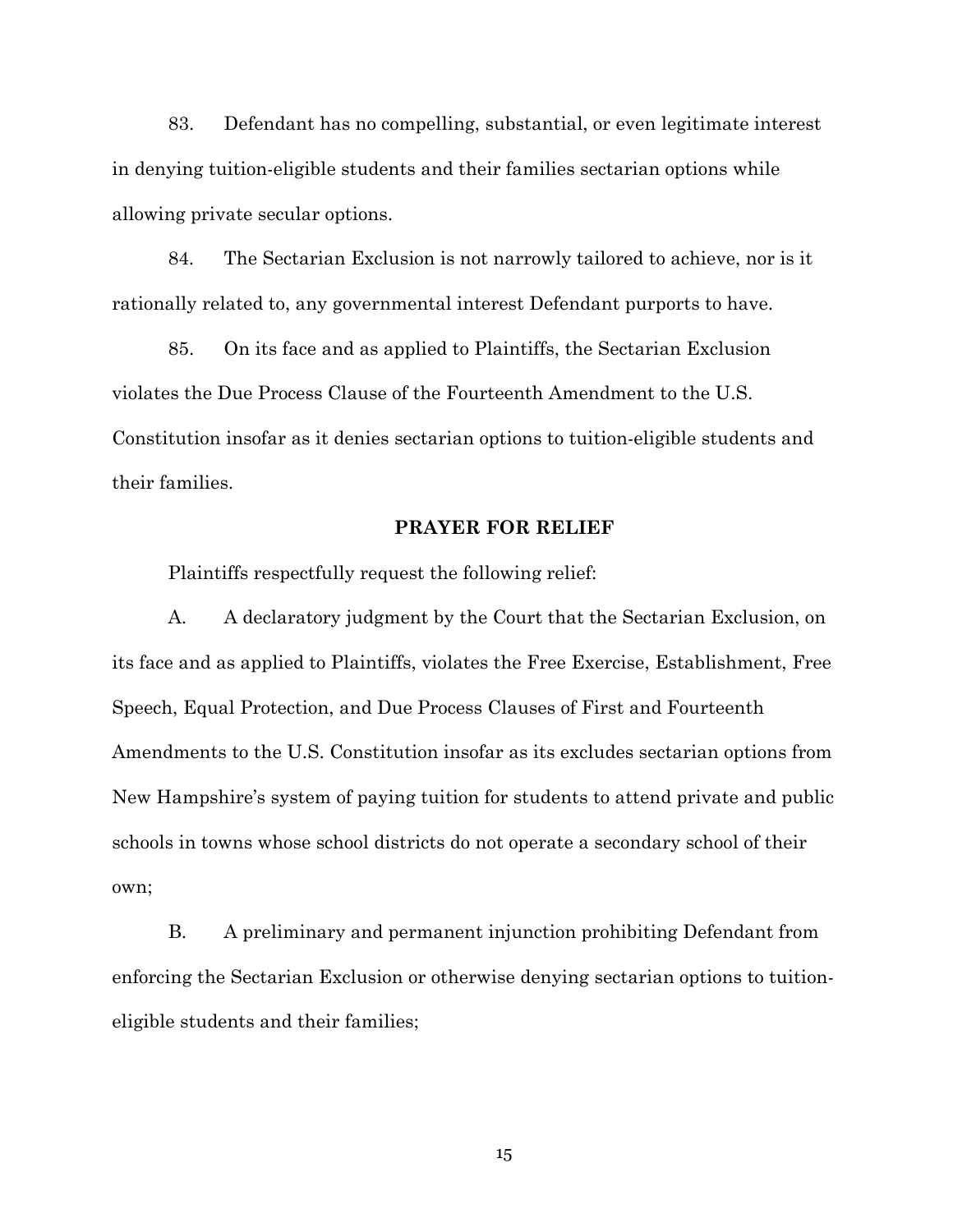83. Defendant has no compelling, substantial, or even legitimate interest in denying tuition-eligible students and their families sectarian options while allowing private secular options.

84. The Sectarian Exclusion is not narrowly tailored to achieve, nor is it rationally related to, any governmental interest Defendant purports to have.

85. On its face and as applied to Plaintiffs, the Sectarian Exclusion violates the Due Process Clause of the Fourteenth Amendment to the U.S. Constitution insofar as it denies sectarian options to tuition-eligible students and their families.

#### **PRAYER FOR RELIEF**

Plaintiffs respectfully request the following relief:

A. A declaratory judgment by the Court that the Sectarian Exclusion, on its face and as applied to Plaintiffs, violates the Free Exercise, Establishment, Free Speech, Equal Protection, and Due Process Clauses of First and Fourteenth Amendments to the U.S. Constitution insofar as its excludes sectarian options from New Hampshire's system of paying tuition for students to attend private and public schools in towns whose school districts do not operate a secondary school of their own;

B. A preliminary and permanent injunction prohibiting Defendant from enforcing the Sectarian Exclusion or otherwise denying sectarian options to tuitioneligible students and their families;